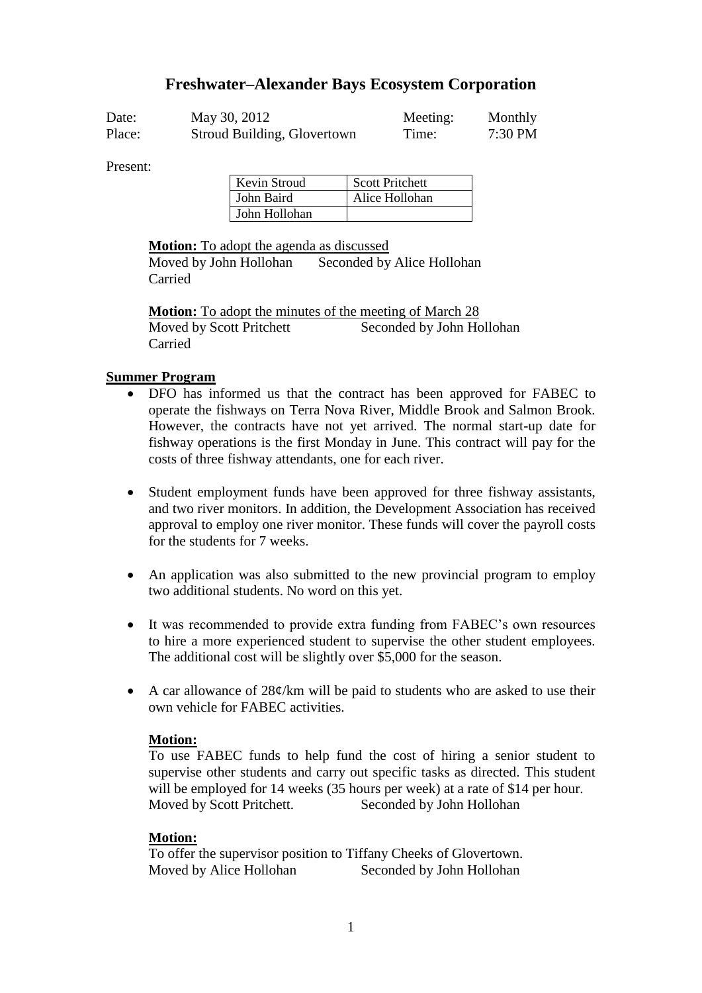## **Freshwater–Alexander Bays Ecosystem Corporation**

| Date:  | May 30, 2012                | Meeting: | Monthly   |
|--------|-----------------------------|----------|-----------|
| Place: | Stroud Building, Glovertown | Time:    | $7:30$ PM |

Present:

| Kevin Stroud  | <b>Scott Pritchett</b> |
|---------------|------------------------|
| John Baird    | Alice Hollohan         |
| John Hollohan |                        |

#### **Motion:** To adopt the agenda as discussed

Moved by John Hollohan Seconded by Alice Hollohan Carried

**Motion:** To adopt the minutes of the meeting of March 28 Moved by Scott Pritchett Seconded by John Hollohan Carried

#### **Summer Program**

- DFO has informed us that the contract has been approved for FABEC to operate the fishways on Terra Nova River, Middle Brook and Salmon Brook. However, the contracts have not yet arrived. The normal start-up date for fishway operations is the first Monday in June. This contract will pay for the costs of three fishway attendants, one for each river.
- Student employment funds have been approved for three fishway assistants, and two river monitors. In addition, the Development Association has received approval to employ one river monitor. These funds will cover the payroll costs for the students for 7 weeks.
- An application was also submitted to the new provincial program to employ two additional students. No word on this yet.
- It was recommended to provide extra funding from FABEC's own resources to hire a more experienced student to supervise the other student employees. The additional cost will be slightly over \$5,000 for the season.
- A car allowance of  $28\varepsilon$ /km will be paid to students who are asked to use their own vehicle for FABEC activities.

#### **Motion:**

To use FABEC funds to help fund the cost of hiring a senior student to supervise other students and carry out specific tasks as directed. This student will be employed for 14 weeks (35 hours per week) at a rate of \$14 per hour. Moved by Scott Pritchett. Seconded by John Hollohan

## **Motion:**

To offer the supervisor position to Tiffany Cheeks of Glovertown. Moved by Alice Hollohan Seconded by John Hollohan